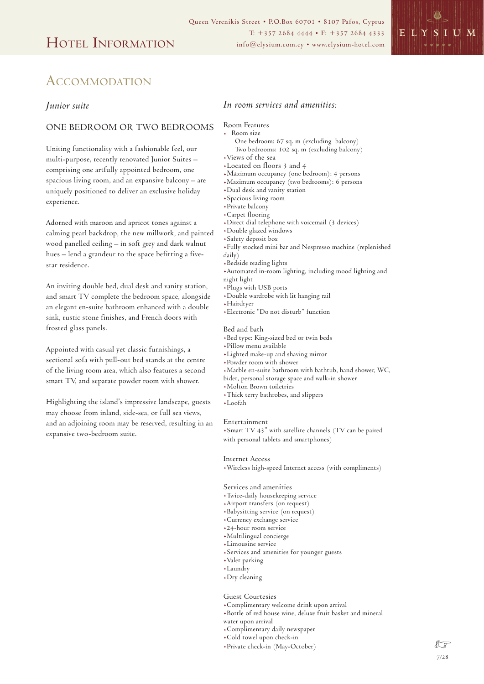

# ACCOMMODATION

## *Junior suite*

## ONE BEDROOM OR TWO BEDROOMS

Uniting functionality with a fashionable feel, our multi-purpose, recently renovated Junior Suites – comprising one artfully appointed bedroom, one spacious living room, and an expansive balcony – are uniquely positioned to deliver an exclusive holiday experience.

Adorned with maroon and apricot tones against a calming pearl backdrop, the new millwork, and painted wood panelled ceiling – in soft grey and dark walnut hues – lend a grandeur to the space befitting a fivestar residence.

An inviting double bed, dual desk and vanity station, and smart TV complete the bedroom space, alongside an elegant en-suite bathroom enhanced with a double sink, rustic stone finishes, and French doors with frosted glass panels.

Appointed with casual yet classic furnishings, a sectional sofa with pull-out bed stands at the centre of the living room area, which also features a second smart TV, and separate powder room with shower.

Highlighting the island's impressive landscape, guests may choose from inland, side-sea, or full sea views, and an adjoining room may be reserved, resulting in an expansive two-bedroom suite.

# *In room services and amenities:*

- Room Features . Room size
	- One bedroom: 67 sq. m (excluding balcony)
- Two bedrooms: 102 sq. m (excluding balcony)
- 
- $*Located$  on floors 3 and 4
- .Maximum occupancy (one bedroom): 4 persons
- .Maximum occupancy (two bedrooms): 6 persons Maximum occupancy (two b+<br>Dual desk and vanity station
- Dual desk and vanity»<br>Spacious living room+
- \*Spacious living room<br>\*Private balcony
- 
- .Carpet flooring
- .Direct dial telephone with voicemail (3 devices)
- .Double glazed windows
- .Safety deposit box
- .Fully stocked mini bar and Nespresso machine (replenished daily)
- 
- .Bedside reading lights
- .Automated in-room lighting, including mood lighting and
- night light
- .Plugs with USB ports
- .Double wardrobe with lit hanging rail
- .Hairdryer
- .Electronic "Do not disturb" function

### Bed and bath

- .Bed type: King-sized bed or twin beds
- .Pillow menu available
- .Lighted make-up and shaving mirror
- .Powder room with shower
- .Marble en-suite bathroom with bathtub, hand shower, WC,
- bidet, personal storage space and walk-in shower
- .Molton Brown toiletries
- .Thick terry bathrobes, and slippers
- .Loofah

### Entertainment

.Smart TV 43" with satellite channels (TV can be paired with personal tablets and smartphones)

### Internet Access

.Wireless high-speed Internet access (with compliments)

### Services and amenities

- .Twice-daily housekeeping service
- .Airport transfers (on request)
- .Babysitting service (on request)
- .Currency exchange service
- .24-hour room service
- .Multilingual concierge
- .Limousine service
- .Services and amenities for younger guests
- .Valet parking
- .Laundry
- .Dry cleaning

### Guest Courtesies

- .Complimentary welcome drink upon arrival
- .Bottle of red house wine, deluxe fruit basket and mineral
- water upon arrival
- .Complimentary daily newspaper
- .Cold towel upon check-in
- .Private check-in (May-October)